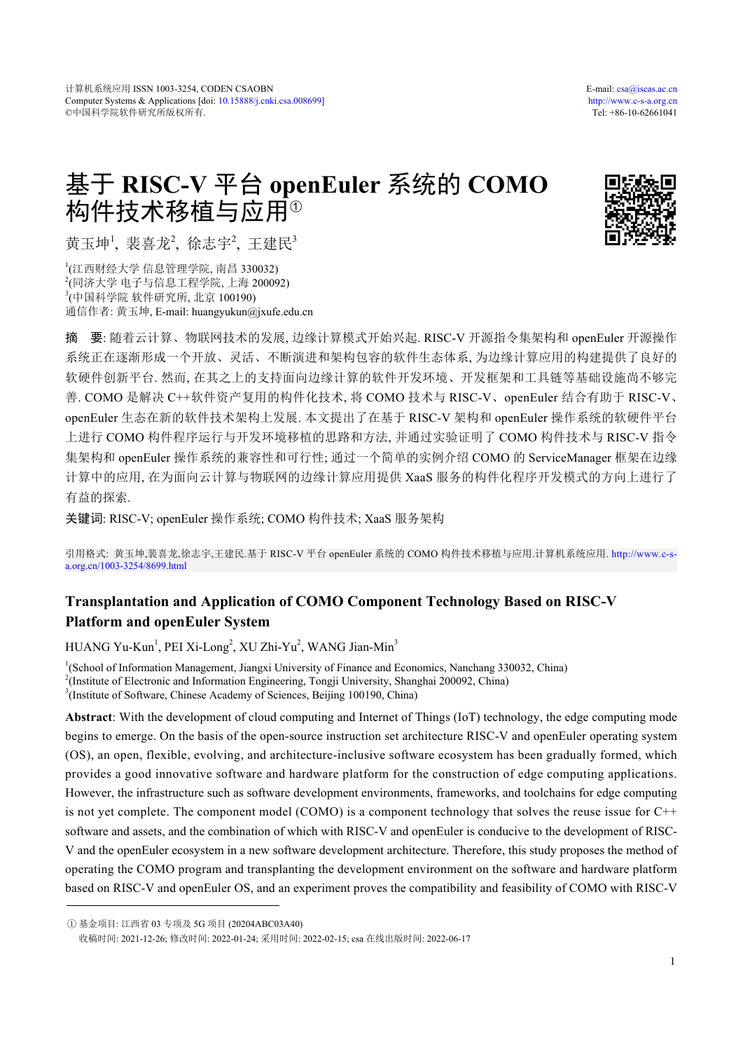# 基于 **RISC-V** 平台 **openEuler** 系统的 **COMO** 构件技术移植与应用 $^{\circ}$



黄玉坤<sup>1</sup>, 裴喜龙<sup>2</sup>, 徐志宇<sup>2</sup>, 王建民<sup>3</sup>

 (江西财经大学 信息管理学院, 南昌 330032) (同济大学 电子与信息工程学院, 上海 200092) (中国科学院 软件研究所, 北京 100190) 通信作者: 黄玉坤, E-mail: huangyukun@jxufe.edu.cn

摘 要: 随着云计算、物联网技术的发展, 边缘计算模式开始兴起. RISC-V 开源指令集架构和 openEuler 开源操作 系统正在逐渐形成一个开放、灵活、不断演进和架构包容的软件生态体系, 为边缘计算应用的构建提供了良好的 软硬件创新平台. 然而, 在其之上的支持面向边缘计算的软件开发环境、开发框架和工具链等基础设施尚不够完 善. COMO 是解决 C++软件资产复用的构件化技术, 将 COMO 技术与 RISC-V、openEuler 结合有助于 RISC-V、 openEuler 生态在新的软件技术架构上发展. 本文提出了在基于 RISC-V 架构和 openEuler 操作系统的软硬件平台 上进行 COMO 构件程序运行与开发环境移植的思路和方法, 并通过实验证明了 COMO 构件技术与 RISC-V 指令 集架构和 openEuler 操作系统的兼容性和可行性; 通过一个简单的实例介绍 COMO 的 ServiceManager 框架在边缘 计算中的应用, 在为面向云计算与物联网的边缘计算应用提供 XaaS 服务的构件化程序开发模式的方向上进行了 有益的探索.

关键词: RISC-V; openEuler 操作系统; COMO 构件技术; XaaS 服务架构

引用格式: 黄玉坤,裴喜龙,徐志宇,王建民.基于 RISC-V 平台 openEuler 系统的 COMO 构件技术移植与应用.计算机系统应用. [http://www.c-s](http://www.c-s-a.org.cn/1003-3254/8699.html)[a.org.cn/1003-3254/8699.html](http://www.c-s-a.org.cn/1003-3254/8699.html)

## **Transplantation and Application of COMO Component Technology Based on RISC-V Platform and openEuler System**

HUANG Yu-Kun<sup>1</sup>, PEI Xi-Long<sup>2</sup>, XU Zhi-Yu<sup>2</sup>, WANG Jian-Min<sup>3</sup>

<sup>1</sup>(School of Information Management, Jiangxi University of Finance and Economics, Nanchang 330032, China) <sup>2</sup>(Institute of Electronic and Information Engineering, Tongji University, Shanghai 200092, China) <sup>3</sup>(Institute of Software, Chinese Academy of Sciences, Beijing 100190, China)

**Abstract**: With the development of cloud computing and Internet of Things (IoT) technology, the edge computing mode begins to emerge. On the basis of the open-source instruction set architecture RISC-V and openEuler operating system (OS), an open, flexible, evolving, and architecture-inclusive software ecosystem has been gradually formed, which provides a good innovative software and hardware platform for the construction of edge computing applications. However, the infrastructure such as software development environments, frameworks, and toolchains for edge computing is not yet complete. The component model (COMO) is a component technology that solves the reuse issue for C++ software and assets, and the combination of which with RISC-V and openEuler is conducive to the development of RISC-V and the openEuler ecosystem in a new software development architecture. Therefore, this study proposes the method of operating the COMO program and transplanting the development environment on the software and hardware platform based on RISC-V and openEuler OS, and an experiment proves the compatibility and feasibility of COMO with RISC-V

① 基金项目: 江西省 03 专项及 5G 项目 (20204ABC03A40)

收稿时间: 2021-12-26; 修改时间: 2022-01-24; 采用时间: 2022-02-15; csa 在线出版时间: 2022-06-17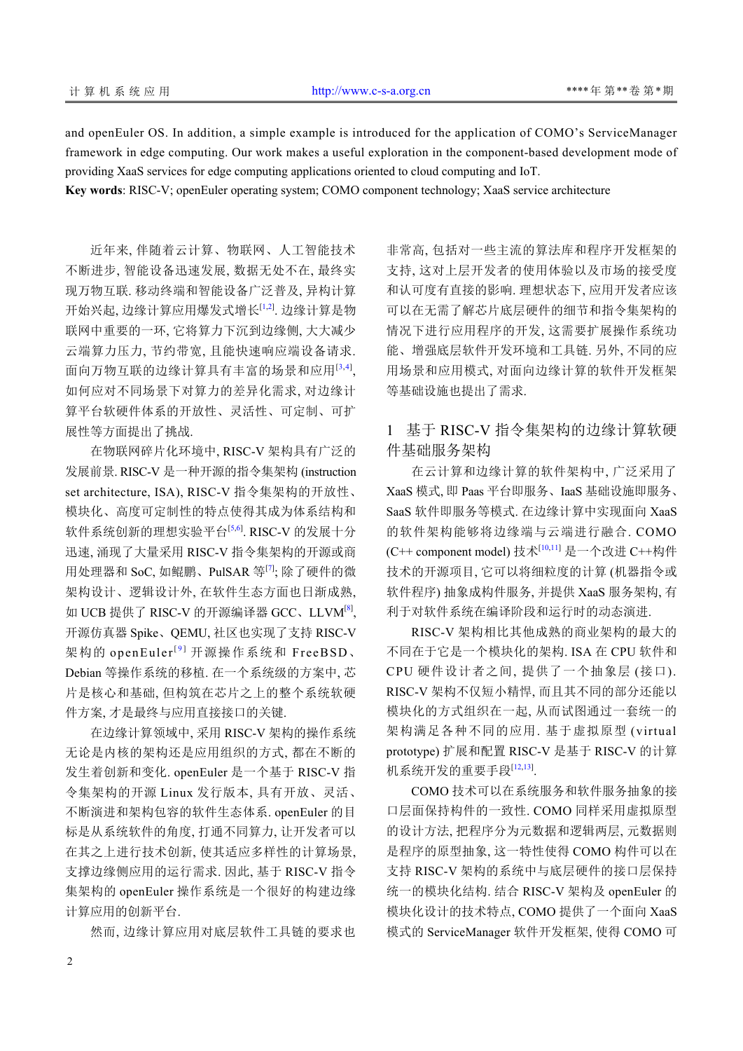and openEuler OS. In addition, a simple example is introduced for the application of COMO's ServiceManager framework in edge computing. Our work makes a useful exploration in the component-based development mode of providing XaaS services for edge computing applications oriented to cloud computing and IoT.

**Key words**: RISC-V; openEuler operating system; COMO component technology; XaaS service architecture

近年来, 伴随着云计算、物联网、人工智能技术 不断进步, 智能设备迅速发展, 数据无处不在, 最终实 现万物互联. 移动终端和智能设备广泛普及, 异构计算 开始兴起, 边缘计算应用爆发式增长<sup>[\[1](#page-5-0),[2](#page-5-1)]</sup>. 边缘计算是物 联网中重要的一环, 它将算力下沉到边缘侧, 大大减少 云端算力压力, 节约带宽, 且能快速响应端设备请求. 面向万物互联的边缘计算具有丰富的场景和应用[[3](#page-5-2),[4](#page-5-3)] , 如何应对不同场景下对算力的差异化需求, 对边缘计 算平台软硬件体系的开放性、灵活性、可定制、可扩 展性等方面提出了挑战.

在物联网碎片化环境中, RISC-V 架构具有广泛的 发展前景. RISC-V 是一种开源的指令集架构 (instruction set architecture, ISA), RISC-V 指令集架构的开放性、 模块化、高度可定制性的特点使得其成为体系结构和 软件系统创新的理想实验平台[[5,](#page-5-4)[6\]](#page-5-5). RISC-V 的发展十分 迅速, 涌现了大量采用 RISC-V 指令集架构的开源或商 用处理器和 SoC, 如鲲鹏、PulSAR 等[[7\]](#page-5-6); 除了硬件的微 架构设计、逻辑设计外, 在软件生态方面也日渐成熟, 如 UCB 提供了 RISC-V 的开源编译器 GCC、LLVM<sup>[\[8](#page-5-7)]</sup>, 开源仿真器 Spike、QEMU, 社区也实现了支持 RISC-V 架构的 openEuler<sup>[[9](#page-5-8)]</sup> 开源操作系统和 FreeBSD、 Debian 等操作系统的移植. 在一个系统级的方案中, 芯 片是核心和基础, 但构筑在芯片之上的整个系统软硬 件方案, 才是最终与应用直接接口的关键.

在边缘计算领域中, 采用 RISC-V 架构的操作系统 无论是内核的架构还是应用组织的方式, 都在不断的 发生着创新和变化. openEuler 是一个基于 RISC-V 指 令集架构的开源 Linux 发行版本, 具有开放、灵活、 不断演进和架构包容的软件生态体系. openEuler 的目 标是从系统软件的角度, 打通不同算力, 让开发者可以 在其之上进行技术创新, 使其适应多样性的计算场景, 支撑边缘侧应用的运行需求. 因此, 基于 RISC-V 指令 集架构的 openEuler 操作系统是一个很好的构建边缘 计算应用的创新平台.

然而, 边缘计算应用对底层软件工具链的要求也

非常高, 包括对一些主流的算法库和程序开发框架的 支持, 这对上层开发者的使用体验以及市场的接受度 和认可度有直接的影响. 理想状态下, 应用开发者应该 可以在无需了解芯片底层硬件的细节和指令集架构的 情况下进行应用程序的开发, 这需要扩展操作系统功 能、增强底层软件开发环境和工具链. 另外, 不同的应 用场景和应用模式, 对面向边缘计算的软件开发框架 等基础设施也提出了需求.

## 1 基于 RISC-V 指令集架构的边缘计算软硬 件基础服务架构

在云计算和边缘计算的软件架构中, 广泛采用了 XaaS 模式, 即 Paas 平台即服务、IaaS 基础设施即服务、 SaaS 软件即服务等模式. 在边缘计算中实现面向 XaaS 的软件架构能够将边缘端与云端进行融合. COMO (C++ component model) 技术[[10](#page-5-9)[,11\]](#page-5-10) 是一个改进 C++构件 技术的开源项目, 它可以将细粒度的计算 (机器指令或 软件程序) 抽象成构件服务, 并提供 XaaS 服务架构, 有 利于对软件系统在编译阶段和运行时的动态演进.

RISC-V 架构相比其他成熟的商业架构的最大的 不同在于它是一个模块化的架构. ISA 在 CPU 软件和 CPU 硬件设计者之间, 提供了一个抽象层 (接口). RISC-V 架构不仅短小精悍, 而且其不同的部分还能以 模块化的方式组织在一起, 从而试图通过一套统一的 架构满足各种不同的应用. 基于虚拟原型 (virtual prototype) 扩展和配置 RISC-V 是基于 RISC-V 的计算 机系统开发的重要手段<sup>[[12,](#page-5-11)[13\]](#page-5-12)</sup>.

COMO 技术可以在系统服务和软件服务抽象的接 口层面保持构件的一致性. COMO 同样采用虚拟原型 的设计方法, 把程序分为元数据和逻辑两层, 元数据则 是程序的原型抽象, 这一特性使得 COMO 构件可以在 支持 RISC-V 架构的系统中与底层硬件的接口层保持 统一的模块化结构. 结合 RISC-V 架构及 openEuler 的 模块化设计的技术特点, COMO 提供了一个面向 XaaS 模式的 ServiceManager 软件开发框架, 使得 COMO 可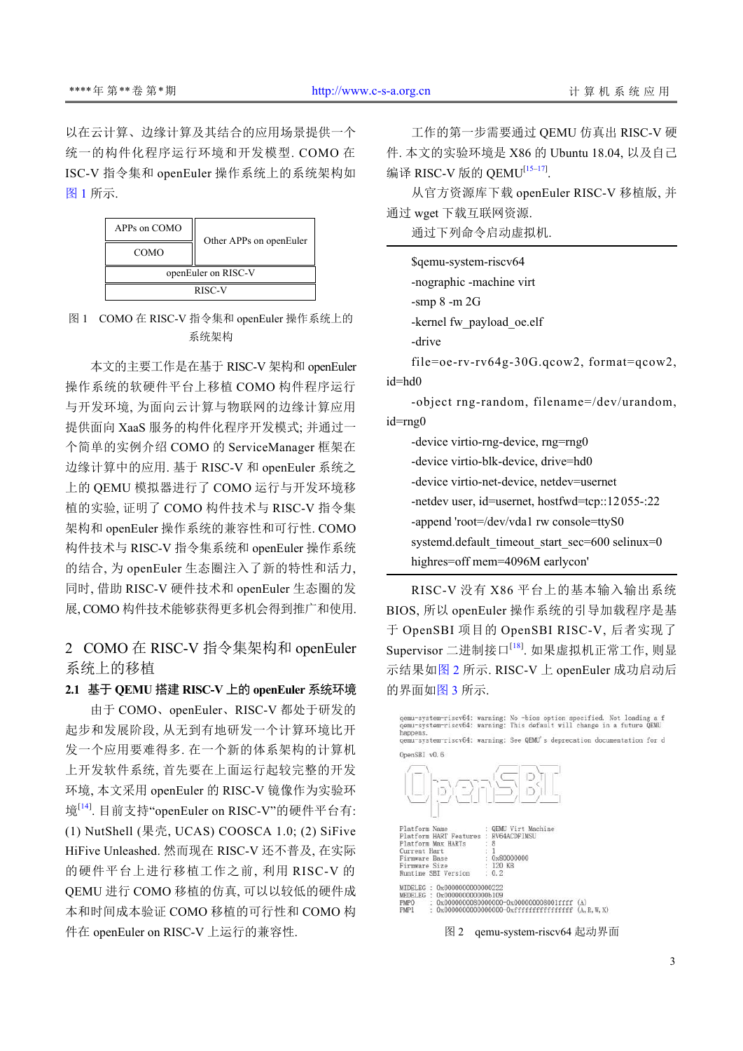以在云计算、边缘计算及其结合的应用场景提供一个 统一的构件化程序运行环境和开发模型. COMO 在 ISC-V 指令集和 openEuler 操作系统上的系统架构如 [图](#page-2-0) [1](#page-2-0) 所示.



<span id="page-2-0"></span>图 1 COMO 在 RISC-V 指令集和 openEuler 操作系统上的 系统架构

本文的主要工作是在基于 RISC-V 架构和 openEuler 操作系统的软硬件平台上移植 COMO 构件程序运行 与开发环境, 为面向云计算与物联网的边缘计算应用 提供面向 XaaS 服务的构件化程序开发模式; 并通过一 个简单的实例介绍 COMO 的 ServiceManager 框架在 边缘计算中的应用. 基于 RISC-V 和 openEuler 系统之 上的 QEMU 模拟器进行了 COMO 运行与开发环境移 植的实验, 证明了 COMO 构件技术与 RISC-V 指令集 架构和 openEuler 操作系统的兼容性和可行性. COMO 构件技术与 RISC-V 指令集系统和 openEuler 操作系统 的结合, 为 openEuler 生态圈注入了新的特性和活力, 同时, 借助 RISC-V 硬件技术和 openEuler 生态圈的发 展, COMO 构件技术能够获得更多机会得到推广和使用.

2 COMO 在 RISC-V 指令集架构和 openEuler 系统上的移植

### **2.1** 基于 **QEMU** 搭建 **RISC-V** 上的 **openEuler** 系统环境

由于 COMO、openEuler、RISC-V 都处于研发的 起步和发展阶段, 从无到有地研发一个计算环境比开 发一个应用要难得多. 在一个新的体系架构的计算机 上开发软件系统, 首先要在上面运行起较完整的开发 环境, 本文采用 openEuler 的 RISC-V 镜像作为实验环 境<sup>[[14](#page-5-13)]</sup>. 目前支持"openEuler on RISC-V"的硬件平台有: (1) NutShell (果壳, UCAS) COOSCA 1.0; (2) SiFive HiFive Unleashed. 然而现在 RISC-V 还不普及, 在实际 的硬件平台上进行移植工作之前, 利用 RISC-V 的 QEMU 进行 COMO 移植的仿真, 可以以较低的硬件成 本和时间成本验证 COMO 移植的可行性和 COMO 构 件在 openEuler on RISC-V 上运行的兼容性.

工作的第一步需要通过 QEMU 仿真出 RISC-V 硬 件. 本文的实验环境是 X86 的 Ubuntu 18.04, 以及自己 编译 RISC-V 版的 QEMU<sup>[\[15–](#page-5-14)[17\]](#page-5-15)</sup>.

从官方资源库下载 openEuler RISC-V 移植版, 并 通过 wget 下载互联网资源.

通过下列命令启动虚拟机.

|           | \$qemu-system-riscv64                        |
|-----------|----------------------------------------------|
|           | -nographic -machine virt                     |
|           | -smp $8$ -m $2G$                             |
|           | -kernel fw payload oe.elf                    |
|           | -drive                                       |
|           | $file=oe-rv-rv64g-30G.qcow2$ , format=qcow2, |
| $id = hd$ |                                              |
|           |                                              |

-object rng-random, filename=/dev/urandom, id=rng0

-device virtio-rng-device, rng=rng0 -device virtio-blk-device, drive=hd0 -device virtio-net-device, netdev=usernet -netdev user, id=usernet, hostfwd=tcp::12055-:22 -append 'root=/dev/vda1 rw console=ttyS0 systemd.default\_timeout\_start\_sec=600 selinux=0 highres=off mem=4096M earlycon'

RISC-V 没有 X86 平台上的基本输入输出系统 BIOS, 所以 openEuler 操作系统的引导加载程序是基 于 OpenSBI 项目的 OpenSBI RISC-V, 后者实现了 Supervisor 二进制接口<sup>[[18](#page-5-16)]</sup>. 如果虚拟机正常工作, 则显 示结果如[图](#page-2-1) [2](#page-2-1) 所示. RISC-V 上 openEuler 成功启动后 的界面如[图](#page-3-0) [3](#page-3-0) 所示.

qemu-system-riscv64: warning: No -bios option specified. Not loading a f<br>qemu-system-riscv64: warning: This default will change in a future QEMU<br>happens. gemu-system-riscv64: warning: See QEMU's deprecation documentation for d OpenSBI v0.6



<span id="page-2-1"></span>图 2 qemu-system-riscv64 起动界面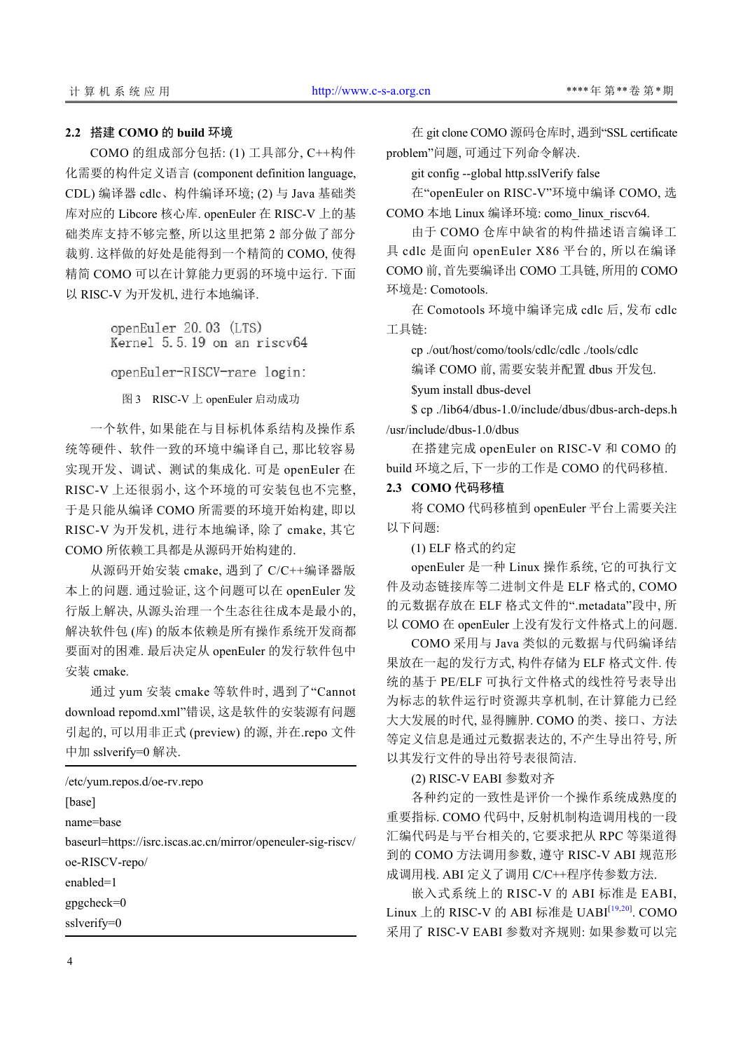#### **2.2** 搭建 **COMO** 的 **build** 环境

COMO 的组成部分包括: (1) 工具部分, C++构件 化需要的构件定义语言 (component definition language, CDL) 编译器 cdlc、构件编译环境; (2) 与 Java 基础类 库对应的 Libcore 核心库. openEuler 在 RISC-V 上的基 础类库支持不够完整, 所以这里把第 2 部分做了部分 裁剪. 这样做的好处是能得到一个精简的 COMO, 使得 精简 COMO 可以在计算能力更弱的环境中运行. 下面 以 RISC-V 为开发机, 进行本地编译.

> openEuler 20.03 (LTS) Kernel 5.5.19 on an riscv64 openEuler-RISCV-rare login:

图 3 RISC-V 上 openEuler 启动成功

<span id="page-3-0"></span>一个软件, 如果能在与目标机体系结构及操作系 统等硬件、软件一致的环境中编译自己, 那比较容易 实现开发、调试、测试的集成化. 可是 openEuler 在 RISC-V 上还很弱小, 这个环境的可安装包也不完整, 于是只能从编译 COMO 所需要的环境开始构建, 即以 RISC-V 为开发机, 进行本地编译, 除了 cmake, 其它 COMO 所依赖工具都是从源码开始构建的.

从源码开始安装 cmake, 遇到了 C/C++编译器版 本上的问题. 通过验证, 这个问题可以在 openEuler 发 行版上解决, 从源头治理一个生态往往成本是最小的, 解决软件包 (库) 的版本依赖是所有操作系统开发商都 要面对的困难. 最后决定从 openEuler 的发行软件包中 安装 cmake.

通过 yum 安装 cmake 等软件时, 遇到了"Cannot download repomd.xml"错误, 这是软件的安装源有问题 引起的, 可以用非正式 (preview) 的源, 并在.repo 文件 中加 sslverify=0 解决.

/etc/yum.repos.d/oe-rv.repo [base] name=base baseurl=https://isrc.iscas.ac.cn/mirror/openeuler-sig-riscv/ oe-RISCV-repo/ enabled=1 gpgcheck=0 sslverify=0

在 git clone COMO 源码仓库时, 遇到"SSL certificate problem"问题, 可通过下列命令解决.

git config --global http.sslVerify false

在"openEuler on RISC-V"环境中编译 COMO, 选 COMO 本地 Linux 编译环境: como\_linux\_riscv64.

由于 COMO 仓库中缺省的构件描述语言编译工 具 cdlc 是面向 openEuler X86 平台的, 所以在编译 COMO 前, 首先要编译出 COMO 工具链, 所用的 COMO 环境是: Comotools.

在 Comotools 环境中编译完成 cdlc 后, 发布 cdlc 工具链:

cp ./out/host/como/tools/cdlc/cdlc ./tools/cdlc

编译 COMO 前, 需要安装并配置 dbus 开发包.

\$yum install dbus-devel \$ cp ./lib64/dbus-1.0/include/dbus/dbus-arch-deps.h

/usr/include/dbus-1.0/dbus

在搭建完成 openEuler on RISC-V 和 COMO 的 build 环境之后, 下一步的工作是 COMO 的代码移植.

#### **2.3 COMO** 代码移植

将 COMO 代码移植到 openEuler 平台上需要关注 以下问题:

(1) ELF 格式的约定

openEuler 是一种 Linux 操作系统, 它的可执行文 件及动态链接库等二进制文件是 ELF 格式的, COMO 的元数据存放在 ELF 格式文件的".metadata"段中, 所 以 COMO 在 openEuler 上没有发行文件格式上的问题.

COMO 采用与 Java 类似的元数据与代码编译结 果放在一起的发行方式, 构件存储为 ELF 格式文件. 传 统的基于 PE/ELF 可执行文件格式的线性符号表导出 为标志的软件运行时资源共享机制, 在计算能力已经 大大发展的时代, 显得臃肿. COMO 的类、接口、方法 等定义信息是通过元数据表达的, 不产生导出符号, 所 以其发行文件的导出符号表很简洁.

(2) RISC-V EABI 参数对齐

各种约定的一致性是评价一个操作系统成熟度的 重要指标. COMO 代码中, 反射机制构造调用栈的一段 汇编代码是与平台相关的, 它要求把从 RPC 等渠道得 到的 COMO 方法调用参数, 遵守 RISC-V ABI 规范形 成调用栈. ABI 定义了调用 C/C++程序传参数方法.

嵌入式系统上的 RISC-V 的 ABI 标准是 EABI, Linux 上的 RISC-V 的 ABI 标准是 UABI<sup>[[19](#page-5-17),[20](#page-5-18)]</sup>. COMO 采用了 RISC-V EABI 参数对齐规则: 如果参数可以完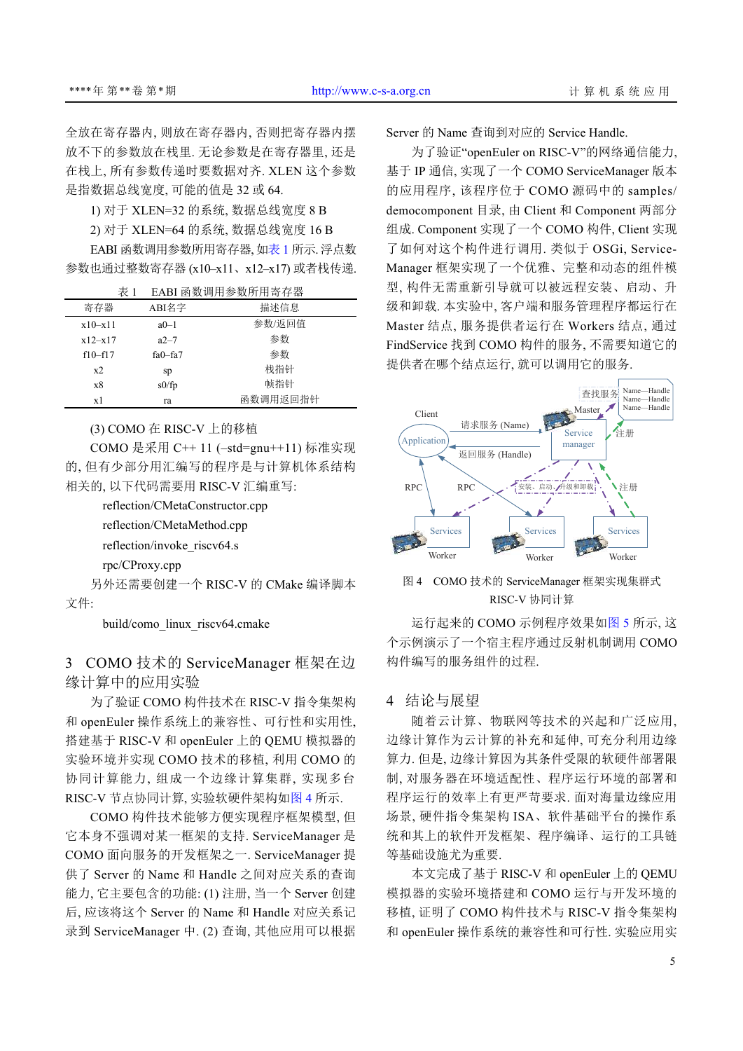全放在寄存器内, 则放在寄存器内, 否则把寄存器内摆 放不下的参数放在栈里. 无论参数是在寄存器里, 还是 在栈上, 所有参数传递时要数据对齐. XLEN 这个参数 是指数据总线宽度, 可能的值是 32 或 64.

1) 对于 XLEN=32 的系统, 数据总线宽度 8 B

2) 对于 XLEN=64 的系统, 数据总线宽度 16 B

EABI 函数调用参数所用寄存器, [如表](#page-4-0) [1](#page-4-0) 所示. 浮点数 参数也通过整数寄存器 (x10–x11、x12–x17) 或者栈传递.

<span id="page-4-0"></span> $\rightarrow$  W. )  $\equiv$  D  $\rightarrow$  W. cc  $\equiv$   $\rightarrow$   $\rightarrow$  m

| 衣1        |             |          |  |
|-----------|-------------|----------|--|
| 寄存器       | ABI名字       | 描述信息     |  |
| $x10-x11$ | $a0-1$      | 参数/返回值   |  |
| $x12-x17$ | $a2-7$      | 参数       |  |
| $f10-f17$ | $fa0 - fa7$ | 参数       |  |
| x2        | sp          | 栈指针      |  |
| x8        | s0/fp       | 帧指针      |  |
| x1        | ra          | 函数调用返回指针 |  |

#### (3) COMO 在 RISC-V 上的移植

COMO 是采用 C++ 11 (–std=gnu++11) 标准实现 的, 但有少部分用汇编写的程序是与计算机体系结构 相关的, 以下代码需要用 RISC-V 汇编重写:

reflection/CMetaConstructor.cpp

reflection/CMetaMethod.cpp

reflection/invoke\_riscv64.s

rpc/CProxy.cpp

另外还需要创建一个 RISC-V 的 CMake 编译脚本 文件:

build/como\_linux\_riscv64.cmake

## 3 COMO 技术的 ServiceManager 框架在边 缘计算中的应用实验

为了验证 COMO 构件技术在 RISC-V 指令集架构 和 openEuler 操作系统上的兼容性、可行性和实用性, 搭建基于 RISC-V 和 openEuler 上的 QEMU 模拟器的 实验环境并实现 COMO 技术的移植, 利用 COMO 的 协同计算能力, 组成一个边缘计算集群, 实现多台 RISC-V 节点协同计算, 实验软硬件架构如[图](#page-4-1) [4](#page-4-1) 所示.

COMO 构件技术能够方便实现程序框架模型, 但 它本身不强调对某一框架的支持. ServiceManager 是 COMO 面向服务的开发框架之一. ServiceManager 提 供了 Server 的 Name 和 Handle 之间对应关系的查询 能力, 它主要包含的功能: (1) 注册, 当一个 Server 创建 后, 应该将这个 Server 的 Name 和 Handle 对应关系记 录到 ServiceManager 中. (2) 查询, 其他应用可以根据 Server 的 Name 查询到对应的 Service Handle.

为了验证"openEuler on RISC-V"的网络通信能力, 基于 IP 通信, 实现了一个 COMO ServiceManager 版本 的应用程序, 该程序位于 COMO 源码中的 samples/ democomponent 目录, 由 Client 和 Component 两部分 组成. Component 实现了一个 COMO 构件, Client 实现 了如何对这个构件进行调用. 类似于 OSGi, Service-Manager 框架实现了一个优雅、完整和动态的组件模 型, 构件无需重新引导就可以被远程安装、启动、升 级和卸载. 本实验中, 客户端和服务管理程序都运行在 Master 结点, 服务提供者运行在 Workers 结点, 通过 FindService 找到 COMO 构件的服务, 不需要知道它的 提供者在哪个结点运行, 就可以调用它的服务.



<span id="page-4-1"></span>图 4 COMO 技术的 ServiceManager 框架实现集群式 RISC-V 协同计算

运行起来的 COMO 示例程序效果如[图](#page-5-19) [5](#page-5-19) 所示, 这 个示例演示了一个宿主程序通过反射机制调用 COMO 构件编写的服务组件的过程.

#### 4 结论与展望

随着云计算、物联网等技术的兴起和广泛应用, 边缘计算作为云计算的补充和延伸, 可充分利用边缘 算力. 但是, 边缘计算因为其条件受限的软硬件部署限 制, 对服务器在环境适配性、程序运行环境的部署和 程序运行的效率上有更严苛要求. 面对海量边缘应用 场景, 硬件指令集架构 ISA、软件基础平台的操作系 统和其上的软件开发框架、程序编译、运行的工具链 等基础设施尤为重要.

本文完成了基于 RISC-V 和 openEuler 上的 QEMU 模拟器的实验环境搭建和 COMO 运行与开发环境的 移植, 证明了 COMO 构件技术与 RISC-V 指令集架构 和 openEuler 操作系统的兼容性和可行性. 实验应用实